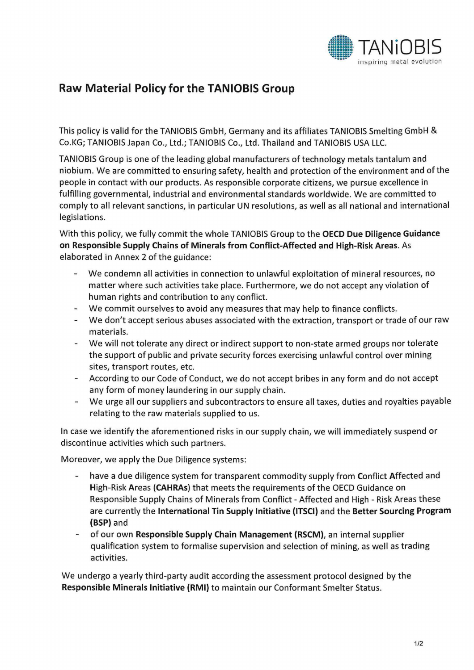

## Raw Material Policy for the TANIOBIS Group

This policy is valid for the TANIOBIS GmbH, Germany and its affiliates TANIOBIS Smelting GmbH & Co.KG; TANIOBIS Japan Co., Ltd.; TANIOBIS Co., Ltd. Thailand and TANIOBIS USA LLC.

TANIOBIS Group is one of the leading global manufacturers of technology metals tantalum and niobium. We are committed to ensuring safety, health and protection of the environment and of the people in contact with our products. As responsible corporate citizens, we pursue excellence in fulfilling governmental, industrial and environmental standards worldwide. We are committed to comply to all relevant sanctions, in particular UN resolutions, as well as all national and international legislations.

With this policy, we fully commit the whole TANIOBIS Group to the OECD Due Diligence Guidance on Responsible Supply Chains of Minerals from Conflict-Affected and High-Risk Areas. As elaborated in Annex 2 of the guidance:

- We condemn all activities in connection to unlawful exploitation of mineral resources, no matter where such activities take place. Furthermore, we do not accept any violation of human rights and contribution to any conflict.
- We commit ourselves to avoid any measures that may help to finance conflicts.
- We don't accept serious abuses associated with the extraction, transport or trade of our raw materials.
- We will not tolerate any direct or indirect support to non-state armed groups nor tolerate the support of public and private security forces exercising unlawful control over mining sites, transport routes, etc.
- According to our Code of Conduct, we do not accept bribes in any form and do not accept any form of money laundering in our supply chain.
- We urge all our suppliers and subcontractors to ensure all taxes, duties and royalties payable relating to the raw materials supplied to us.

In case we identify the aforementioned risks in our supply chain, we will immediately suspend or discontinue activities which such partners.

Moreover, we apply the Due Diligence systems:

- have a due diligence system for transparent commodity supply from Conflict Affected and High-Risk Areas (CAHRAs) that meets the requirements of the OECD Guidance on Responsible Supply Chains of Minerals from Conflict - Affected and High - Risk Areas these are currently the International Tin Supply Initiative (ITSCI) and the Better Sourcing Program (BSP) and
- of our own Responsible Supply Chain Management (RSCM), an internal supplier qualification system to formalise supervision and selection of mining, as well as trading activities.

We undergo a yearly third-party audit according the assessment protocol designed by the Responsible Minerals Initiative (RMI) to maintain our Conformant Smelter Status.